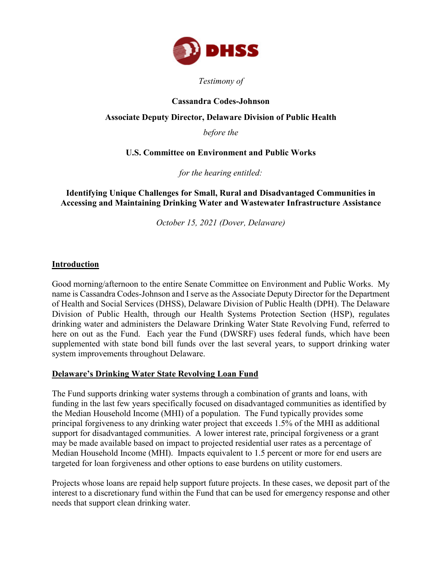

*Testimony of*

# **Cassandra Codes-Johnson Associate Deputy Director, Delaware Division of Public Health**

*before the*

# **U.S. Committee on Environment and Public Works**

*for the hearing entitled:* 

# **Identifying Unique Challenges for Small, Rural and Disadvantaged Communities in Accessing and Maintaining Drinking Water and Wastewater Infrastructure Assistance**

*October 15, 2021 (Dover, Delaware)*

# **Introduction**

Good morning/afternoon to the entire Senate Committee on Environment and Public Works. My name is Cassandra Codes-Johnson and I serve as the Associate Deputy Director for the Department of Health and Social Services (DHSS), Delaware Division of Public Health (DPH). The Delaware Division of Public Health, through our Health Systems Protection Section (HSP), regulates drinking water and administers the Delaware Drinking Water State Revolving Fund, referred to here on out as the Fund. Each year the Fund (DWSRF) uses federal funds, which have been supplemented with state bond bill funds over the last several years, to support drinking water system improvements throughout Delaware.

## **Delaware's Drinking Water State Revolving Loan Fund**

The Fund supports drinking water systems through a combination of grants and loans, with funding in the last few years specifically focused on disadvantaged communities as identified by the Median Household Income (MHI) of a population. The Fund typically provides some principal forgiveness to any drinking water project that exceeds 1.5% of the MHI as additional support for disadvantaged communities. A lower interest rate, principal forgiveness or a grant may be made available based on impact to projected residential user rates as a percentage of Median Household Income (MHI). Impacts equivalent to 1.5 percent or more for end users are targeted for loan forgiveness and other options to ease burdens on utility customers.

Projects whose loans are repaid help support future projects. In these cases, we deposit part of the interest to a discretionary fund within the Fund that can be used for emergency response and other needs that support clean drinking water.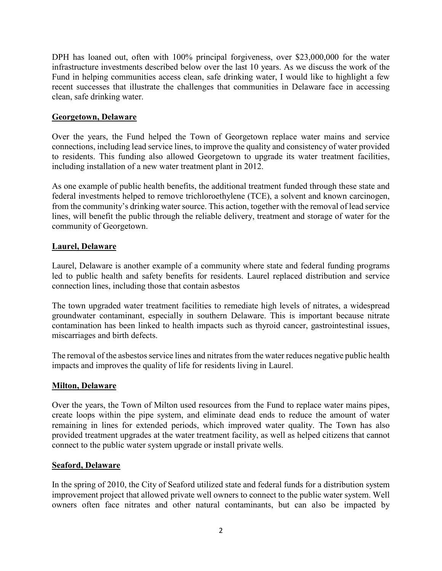DPH has loaned out, often with 100% principal forgiveness, over \$23,000,000 for the water infrastructure investments described below over the last 10 years. As we discuss the work of the Fund in helping communities access clean, safe drinking water, I would like to highlight a few recent successes that illustrate the challenges that communities in Delaware face in accessing clean, safe drinking water.

### **Georgetown, Delaware**

Over the years, the Fund helped the Town of Georgetown replace water mains and service connections, including lead service lines, to improve the quality and consistency of water provided to residents. This funding also allowed Georgetown to upgrade its water treatment facilities, including installation of a new water treatment plant in 2012.

As one example of public health benefits, the additional treatment funded through these state and federal investments helped to remove trichloroethylene (TCE), a solvent and known carcinogen, from the community's drinking water source. This action, together with the removal of lead service lines, will benefit the public through the reliable delivery, treatment and storage of water for the community of Georgetown.

#### **Laurel, Delaware**

Laurel, Delaware is another example of a community where state and federal funding programs led to public health and safety benefits for residents. Laurel replaced distribution and service connection lines, including those that contain asbestos

The town upgraded water treatment facilities to remediate high levels of nitrates, a widespread groundwater contaminant, especially in southern Delaware. This is important because nitrate contamination has been linked to health impacts such as thyroid cancer, gastrointestinal issues, miscarriages and birth defects.

The removal of the asbestos service lines and nitrates from the water reduces negative public health impacts and improves the quality of life for residents living in Laurel.

#### **Milton, Delaware**

Over the years, the Town of Milton used resources from the Fund to replace water mains pipes, create loops within the pipe system, and eliminate dead ends to reduce the amount of water remaining in lines for extended periods, which improved water quality. The Town has also provided treatment upgrades at the water treatment facility, as well as helped citizens that cannot connect to the public water system upgrade or install private wells.

#### **Seaford, Delaware**

In the spring of 2010, the City of Seaford utilized state and federal funds for a distribution system improvement project that allowed private well owners to connect to the public water system. Well owners often face nitrates and other natural contaminants, but can also be impacted by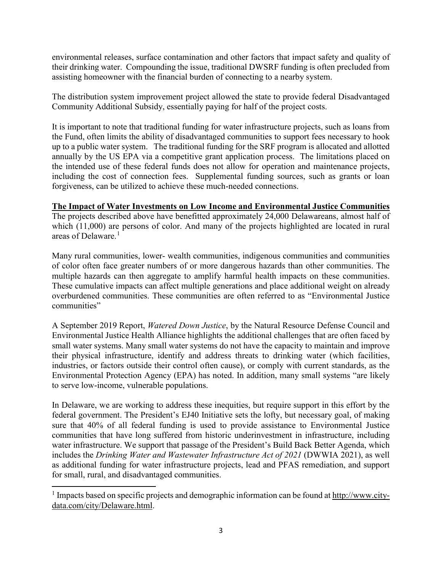environmental releases, surface contamination and other factors that impact safety and quality of their drinking water. Compounding the issue, traditional DWSRF funding is often precluded from assisting homeowner with the financial burden of connecting to a nearby system.

The distribution system improvement project allowed the state to provide federal Disadvantaged Community Additional Subsidy, essentially paying for half of the project costs.

It is important to note that traditional funding for water infrastructure projects, such as loans from the Fund, often limits the ability of disadvantaged communities to support fees necessary to hook up to a public water system. The traditional funding for the SRF program is allocated and allotted annually by the US EPA via a competitive grant application process. The limitations placed on the intended use of these federal funds does not allow for operation and maintenance projects, including the cost of connection fees. Supplemental funding sources, such as grants or loan forgiveness, can be utilized to achieve these much-needed connections.

## **The Impact of Water Investments on Low Income and Environmental Justice Communities**

The projects described above have benefitted approximately 24,000 Delawareans, almost half of which (11,000) are persons of color. And many of the projects highlighted are located in rural areas of Delaware. $<sup>1</sup>$  $<sup>1</sup>$  $<sup>1</sup>$ </sup>

Many rural communities, lower- wealth communities, indigenous communities and communities of color often face greater numbers of or more dangerous hazards than other communities. The multiple hazards can then aggregate to amplify harmful health impacts on these communities. These cumulative impacts can affect multiple generations and place additional weight on already overburdened communities. These communities are often referred to as "Environmental Justice communities"

A September 2019 Report, *Watered Down Justice*, by the Natural Resource Defense Council and Environmental Justice Health Alliance highlights the additional challenges that are often faced by small water systems. Many small water systems do not have the capacity to maintain and improve their physical infrastructure, identify and address threats to drinking water (which facilities, industries, or factors outside their control often cause), or comply with current standards, as the Environmental Protection Agency (EPA) has noted. In addition, many small systems "are likely to serve low-income, vulnerable populations.

In Delaware, we are working to address these inequities, but require support in this effort by the federal government. The President's EJ40 Initiative sets the lofty, but necessary goal, of making sure that 40% of all federal funding is used to provide assistance to Environmental Justice communities that have long suffered from historic underinvestment in infrastructure, including water infrastructure. We support that passage of the President's Build Back Better Agenda, which includes the *Drinking Water and Wastewater Infrastructure Act of 2021* (DWWIA 2021), as well as additional funding for water infrastructure projects, lead and PFAS remediation, and support for small, rural, and disadvantaged communities.

 $\overline{\phantom{a}}$ 

<span id="page-2-0"></span> $1$  Impacts based on specific projects and demographic information can be found at [http://www.city](http://www.city-data.com/city/Delaware.html)[data.com/city/Delaware.html.](http://www.city-data.com/city/Delaware.html)